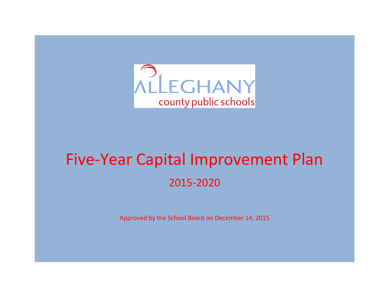

# Five-Year Capital Improvement Plan 2015-2020

Approved by the School Board on December 14, 2015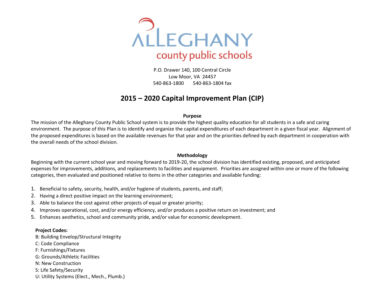

P.O. Drawer 140, 100 Central Circle Low Moor, VA 24457 540-863-1800 540-863-1804 fax

### **2015 – 2020 Capital Improvement Plan (CIP)**

#### **Purpose**

The mission of the Alleghany County Public School system is to provide the highest quality education for all students in a safe and caring environment. The purpose of this Plan is to identify and organize the capital expenditures of each department in a given fiscal year. Alignment of the proposed expenditures is based on the available revenues for that year and on the priorities defined by each department in cooperation with the overall needs of the school division.

#### **Methodology**

Beginning with the current school year and moving forward to 2019-20, the school division has identified existing, proposed, and anticipated expenses for improvements, additions, and replacements to facilities and equipment. Priorities are assigned within one or more of the following categories, then evaluated and positioned relative to items in the other categories and available funding:

- 1. Beneficial to safety, security, health, and/or hygiene of students, parents, and staff;
- 2. Having a direct positive impact on the learning environment;
- 3. Able to balance the cost against other projects of equal or greater priority;
- 4. Improves operational, cost, and/or energy efficiency, and/or produces a positive return on investment; and
- 5. Enhances aesthetics, school and community pride, and/or value for economic development.

#### **Project Codes:**

- B: Building Envelop/Structural Integrity
- C: Code Compliance
- F: Furnishings/Fixtures
- G: Grounds/Athletic Facilities
- N: New Construction
- S: Life Safety/Security
- U: Utility Systems (Elect., Mech., Plumb.)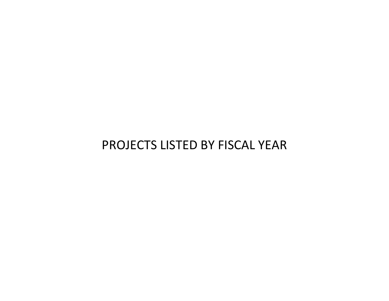### PROJECTS LISTED BY FISCAL YEAR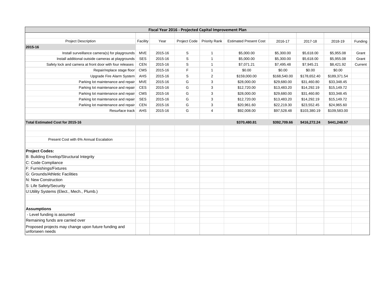|                                                                         |            |         | Fiscal Year 2016 - Projected Capital Improvement Plan |                      |                               |              |              |              |         |
|-------------------------------------------------------------------------|------------|---------|-------------------------------------------------------|----------------------|-------------------------------|--------------|--------------|--------------|---------|
|                                                                         |            |         |                                                       |                      |                               |              |              |              |         |
| <b>Project Description</b>                                              | Facility   | Year    | Project Code                                          | <b>Priority Rank</b> | <b>Estimated Present Cost</b> | 2016-17      | 2017-18      | 2018-19      | Funding |
| 2015-16                                                                 |            |         |                                                       |                      |                               |              |              |              |         |
| Install surveillance camera(s) for playgrounds                          | MVE        | 2015-16 | S                                                     | $\mathbf{1}$         | \$5,000.00                    | \$5,300.00   | \$5,618.00   | \$5,955.08   | Grant   |
| Install additional outside cameras at playgrounds                       | <b>SES</b> | 2015-16 | S                                                     | $\mathbf{1}$         | \$5,000.00                    | \$5,300.00   | \$5,618.00   | \$5,955.08   | Grant   |
| Safety lock and camera at front door with four releases                 | CEN        | 2015-16 | S                                                     | $\mathbf{1}$         | \$7,071.21                    | \$7,495.48   | \$7,945.21   | \$8,421.92   | Current |
| Repair/replace stage floor                                              | <b>CMS</b> | 2015-16 | F                                                     | $\mathbf{1}$         | \$0.00                        | \$0.00       | \$0.00       | \$0.00       |         |
| Upgrade Fire Alarm System                                               | <b>AHS</b> | 2015-16 | S                                                     | $\overline{2}$       | \$159,000.00                  | \$168,540.00 | \$178,652.40 | \$189,371.54 |         |
| Parking lot maintenance and repair                                      | MVE        | 2015-16 | G                                                     | 3                    | \$28,000.00                   | \$29,680.00  | \$31,460.80  | \$33,348.45  |         |
| Parking lot maintenance and repair                                      | <b>CES</b> | 2015-16 | G                                                     | 3                    | \$12,720.00                   | \$13,483.20  | \$14,292.19  | \$15,149.72  |         |
| Parking lot maintenance and repair                                      | CMS        | 2015-16 | G                                                     | 3                    | \$28,000.00                   | \$29,680.00  | \$31,460.80  | \$33,348.45  |         |
| Parking lot maintenance and repair                                      | <b>SES</b> | 2015-16 | G                                                     | 3                    | \$12,720.00                   | \$13,483.20  | \$14,292.19  | \$15,149.72  |         |
| Parking lot maintenance and repair                                      | CEN        | 2015-16 | G                                                     | 3                    | \$20,961.60                   | \$22,219.30  | \$23,552.45  | \$24,965.60  |         |
| Resurface track                                                         | AHS        | 2015-16 | G                                                     | 4                    | \$92,008.00                   | \$97,528.48  | \$103,380.19 | \$109,583.00 |         |
|                                                                         |            |         |                                                       |                      |                               |              |              |              |         |
| Total Estimated Cost for 2015-16                                        |            |         |                                                       |                      | \$370,480.81                  | \$392,709.66 | \$416,272.24 | \$441,248.57 |         |
|                                                                         |            |         |                                                       |                      |                               |              |              |              |         |
|                                                                         |            |         |                                                       |                      |                               |              |              |              |         |
| Present Cost with 6% Annual Escalation                                  |            |         |                                                       |                      |                               |              |              |              |         |
|                                                                         |            |         |                                                       |                      |                               |              |              |              |         |
| <b>Project Codes:</b>                                                   |            |         |                                                       |                      |                               |              |              |              |         |
| B: Building Envelop/Structural Integrity                                |            |         |                                                       |                      |                               |              |              |              |         |
| C: Code Compliance                                                      |            |         |                                                       |                      |                               |              |              |              |         |
| F: Furnishings/Fixtures                                                 |            |         |                                                       |                      |                               |              |              |              |         |
| G: Grounds/Athletic Facilities                                          |            |         |                                                       |                      |                               |              |              |              |         |
| N: New Construction                                                     |            |         |                                                       |                      |                               |              |              |              |         |
| S: Life Safety/Security                                                 |            |         |                                                       |                      |                               |              |              |              |         |
| U:Utility Systems (Elect., Mech., Plumb.)                               |            |         |                                                       |                      |                               |              |              |              |         |
|                                                                         |            |         |                                                       |                      |                               |              |              |              |         |
|                                                                         |            |         |                                                       |                      |                               |              |              |              |         |
| <b>Assumptions</b>                                                      |            |         |                                                       |                      |                               |              |              |              |         |
| - Level funding is assumed                                              |            |         |                                                       |                      |                               |              |              |              |         |
| Remaining funds are carried over                                        |            |         |                                                       |                      |                               |              |              |              |         |
| Proposed projects may change upon future funding and<br>unforseen needs |            |         |                                                       |                      |                               |              |              |              |         |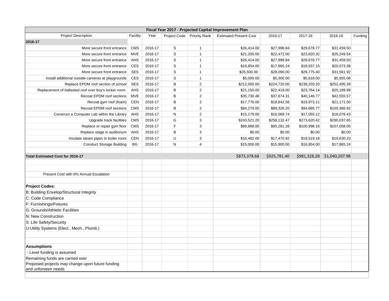| Fiscal Year 2017 - Projected Capital Improvement Plan<br><b>Project Description</b><br>Year<br>Facility<br>Project Code   Priority Rank<br><b>Estimated Present Cost</b><br>2016-17<br>2017-18<br>2018-19<br>Funding |                                                                                            |         |             |                |              |              |              |                |  |  |  |  |
|----------------------------------------------------------------------------------------------------------------------------------------------------------------------------------------------------------------------|--------------------------------------------------------------------------------------------|---------|-------------|----------------|--------------|--------------|--------------|----------------|--|--|--|--|
| 2016-17                                                                                                                                                                                                              |                                                                                            |         |             |                |              |              |              |                |  |  |  |  |
|                                                                                                                                                                                                                      |                                                                                            |         |             |                |              |              |              |                |  |  |  |  |
| More secure front entrance                                                                                                                                                                                           | <b>CMS</b>                                                                                 | 2016-17 | S           | $\mathbf{1}$   | \$26,414.00  | \$27,998.84  | \$29,678.77  | \$31,459.50    |  |  |  |  |
| More secure front entrance                                                                                                                                                                                           | MVE                                                                                        | 2016-17 | S           | $\mathbf{1}$   | \$21,200.00  | \$22,472.00  | \$23,820.32  | \$25,249.54    |  |  |  |  |
| More secure front entrance                                                                                                                                                                                           | AHS                                                                                        | 2016-17 | $\mathsf S$ | $\mathbf{1}$   | \$26,414.00  | \$27,998.84  | \$29,678.77  | \$31,459.50    |  |  |  |  |
| More secure front entrance                                                                                                                                                                                           | <b>CES</b>                                                                                 | 2016-17 | S           | $\mathbf{1}$   | \$16,854.00  | \$17,865.24  | \$18,937.15  | \$20,073.38    |  |  |  |  |
| More secure front entrance                                                                                                                                                                                           | <b>SES</b>                                                                                 | 2016-17 | $\mathbb S$ | $\mathbf{1}$   | \$26,500.00  | \$28,090.00  | \$29,775.40  | \$31,561.92    |  |  |  |  |
| Install additional outside cameras at playgrounds                                                                                                                                                                    | <b>CES</b>                                                                                 | 2016-17 | $\mathbb S$ | $\mathbf{1}$   | \$5,000.00   | \$5,300.00   | \$5,618.00   | \$5,955.08     |  |  |  |  |
| Replace EPDM roof section of school                                                                                                                                                                                  | <b>SES</b>                                                                                 | 2016-17 | B           | $\overline{2}$ | \$212,000.00 | \$224,720.00 | \$238,203.20 | \$252,495.39   |  |  |  |  |
| Replacement of ballasted roof over boy's locker room                                                                                                                                                                 | <b>AHS</b>                                                                                 | 2016-17 | B           | 2              | \$21,150.00  | \$22,419.00  | \$23,764.14  | \$25,189.99    |  |  |  |  |
| Recoat EPDM roof sections                                                                                                                                                                                            | <b>MVE</b>                                                                                 | 2016-17 | B           | 2              | \$35,730.48  | \$37,874.31  | \$40,146.77  | \$42,555.57    |  |  |  |  |
| Recoat gym roof (foam)                                                                                                                                                                                               | <b>CEN</b>                                                                                 | 2016-17 | B           | $\overline{2}$ | \$17,776.00  | \$18,842.56  | \$19,973.11  | \$21,171.50    |  |  |  |  |
| Recoat EPDM roof sections                                                                                                                                                                                            | <b>CMS</b>                                                                                 | 2016-17 | B           | $\overline{2}$ | \$84,270.00  | \$89,326.20  | \$94,685.77  | \$100,366.92   |  |  |  |  |
| Construct a Computer Lab within the Library                                                                                                                                                                          | <b>AHS</b>                                                                                 | 2016-17 | N           | 2              | \$15,179.00  | \$16,089.74  | \$17,055.12  | \$18,078.43    |  |  |  |  |
| Upgrade track facilities                                                                                                                                                                                             | <b>CMS</b>                                                                                 | 2016-17 | G           | 3              | \$243,521.20 | \$258,132.47 | \$273,620.42 | \$290,037.65   |  |  |  |  |
| Replace or repair gym floor                                                                                                                                                                                          | <b>CMS</b>                                                                                 | 2016-17 | F           | 3              | \$89,888.00  | \$95,281.28  | \$100,998.16 | \$107,058.05   |  |  |  |  |
| Replace stage in auditorium                                                                                                                                                                                          | AHS                                                                                        | 2016-17 | B           | 3              | \$0.00       | \$0.00       | \$0.00       | \$0.00         |  |  |  |  |
| Insulate steam pipes in boiler room                                                                                                                                                                                  | <b>CEN</b>                                                                                 | 2016-17 | U           | 3              | \$16,482.00  | \$17,470.92  | \$18,519.18  | \$19,630.33    |  |  |  |  |
| <b>Constuct Storage Building</b>                                                                                                                                                                                     | <b>BG</b><br>N<br>2016-17<br>4<br>\$15,000.00<br>\$15,900.00<br>\$16,854.00<br>\$17,865.24 |         |             |                |              |              |              |                |  |  |  |  |
|                                                                                                                                                                                                                      |                                                                                            |         |             |                |              |              |              |                |  |  |  |  |
| <b>Total Estimated Cost for 2016-17</b>                                                                                                                                                                              |                                                                                            |         |             |                | \$873,378.68 | \$925,781.40 | \$981,328.28 | \$1,040,207.98 |  |  |  |  |
|                                                                                                                                                                                                                      |                                                                                            |         |             |                |              |              |              |                |  |  |  |  |
|                                                                                                                                                                                                                      |                                                                                            |         |             |                |              |              |              |                |  |  |  |  |
| Present Cost with 6% Annual Escalation                                                                                                                                                                               |                                                                                            |         |             |                |              |              |              |                |  |  |  |  |
|                                                                                                                                                                                                                      |                                                                                            |         |             |                |              |              |              |                |  |  |  |  |
| <b>Project Codes:</b>                                                                                                                                                                                                |                                                                                            |         |             |                |              |              |              |                |  |  |  |  |
| B: Building Envelop/Structural Integrity                                                                                                                                                                             |                                                                                            |         |             |                |              |              |              |                |  |  |  |  |
| C: Code Compliance                                                                                                                                                                                                   |                                                                                            |         |             |                |              |              |              |                |  |  |  |  |
| F: Furnishings/Fixtures                                                                                                                                                                                              |                                                                                            |         |             |                |              |              |              |                |  |  |  |  |
| G: Grounds/Athletic Facilities                                                                                                                                                                                       |                                                                                            |         |             |                |              |              |              |                |  |  |  |  |
| N: New Construction                                                                                                                                                                                                  |                                                                                            |         |             |                |              |              |              |                |  |  |  |  |
| S: Life Safety/Security                                                                                                                                                                                              |                                                                                            |         |             |                |              |              |              |                |  |  |  |  |
| U:Utility Systems (Elect., Mech., Plumb.)                                                                                                                                                                            |                                                                                            |         |             |                |              |              |              |                |  |  |  |  |
|                                                                                                                                                                                                                      |                                                                                            |         |             |                |              |              |              |                |  |  |  |  |
|                                                                                                                                                                                                                      |                                                                                            |         |             |                |              |              |              |                |  |  |  |  |
| <b>Assumptions</b>                                                                                                                                                                                                   |                                                                                            |         |             |                |              |              |              |                |  |  |  |  |
| - Level funding is assumed                                                                                                                                                                                           |                                                                                            |         |             |                |              |              |              |                |  |  |  |  |
| Remaining funds are carried over                                                                                                                                                                                     |                                                                                            |         |             |                |              |              |              |                |  |  |  |  |
| Proposed projects may change upon future funding<br>and unforseen needs                                                                                                                                              |                                                                                            |         |             |                |              |              |              |                |  |  |  |  |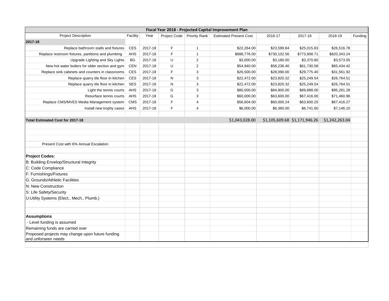| Fiscal Year 2018 - Projected Capital Improvement Plan<br><b>Project Description</b><br>Facility<br>Year<br>Project Code   Priority Rank<br><b>Estimated Present Cost</b><br>2016-17<br>2017-18<br>2018-19<br>Funding |            |         |   |                |                |                               |              |                |  |  |  |  |  |
|----------------------------------------------------------------------------------------------------------------------------------------------------------------------------------------------------------------------|------------|---------|---|----------------|----------------|-------------------------------|--------------|----------------|--|--|--|--|--|
|                                                                                                                                                                                                                      |            |         |   |                |                |                               |              |                |  |  |  |  |  |
| 2017-18                                                                                                                                                                                                              |            |         |   |                |                |                               |              |                |  |  |  |  |  |
| Replace bathroom stalls and fixtures                                                                                                                                                                                 | <b>CES</b> | 2017-18 | F | $\mathbf{1}$   | \$22,264.00    | \$23,599.84                   | \$25,015.83  | \$26,516.78    |  |  |  |  |  |
| Replace restroom fixtures, partitions and plumbing                                                                                                                                                                   | <b>AHS</b> | 2017-18 | F | $\mathbf{1}$   | \$688,776.00   | \$730,102.56                  | \$773,908.71 | \$820,343.24   |  |  |  |  |  |
| Upgrade Lighting and Sky Lights                                                                                                                                                                                      | BG         | 2017-18 | U | 2              | \$3,000.00     | \$3,180.00                    | \$3,370.80   | \$3,573.05     |  |  |  |  |  |
| New hot water boilers for older section and gym                                                                                                                                                                      | <b>CEN</b> | 2017-18 | U | $\overline{2}$ | \$54,940.00    | \$58,236.40                   | \$61,730.58  | \$65,434.42    |  |  |  |  |  |
| Replace sink cabinets and counters in classrooms                                                                                                                                                                     | <b>CES</b> | 2017-18 | F | 3              | \$26,500.00    | \$28,090.00                   | \$29,775.40  | \$31,561.92    |  |  |  |  |  |
| Replace quarry tile floor in kitchen                                                                                                                                                                                 | <b>CES</b> | 2017-18 | N | 3              | \$22,472.00    | \$23,820.32                   | \$25,249.54  | \$26,764.51    |  |  |  |  |  |
| Replace quarry tile floor in kitchen                                                                                                                                                                                 | <b>SES</b> | 2017-18 | N | 3              | \$22,472.00    | \$23,820.32                   | \$25,249.54  | \$26,764.51    |  |  |  |  |  |
| Light the tennis courts                                                                                                                                                                                              | <b>AHS</b> | 2017-18 | G | 3              | \$80,000.00    | \$84,800.00                   | \$89,888.00  | \$95,281.28    |  |  |  |  |  |
| Resurface tennis courts                                                                                                                                                                                              | <b>AHS</b> | 2017-18 | G | 3              | \$60,000.00    | \$63,600.00                   | \$67,416.00  | \$71,460.96    |  |  |  |  |  |
| Replace CMS/MVES Media Management system                                                                                                                                                                             | <b>CMS</b> | 2017-18 | F | $\overline{4}$ | \$56,604.00    | \$60,000.24                   | \$63,600.25  | \$67,416.27    |  |  |  |  |  |
| Install new trophy cases                                                                                                                                                                                             | <b>AHS</b> | 2017-18 | F | $\overline{4}$ | \$6,000.00     | \$6,360.00                    | \$6,741.60   | \$7,146.10     |  |  |  |  |  |
|                                                                                                                                                                                                                      |            |         |   |                |                |                               |              |                |  |  |  |  |  |
| Total Estimated Cost for 2017-18                                                                                                                                                                                     |            |         |   |                | \$1,043,028.00 | \$1,105,609.68 \$1,171,946.26 |              | \$1,242,263.04 |  |  |  |  |  |
|                                                                                                                                                                                                                      |            |         |   |                |                |                               |              |                |  |  |  |  |  |
|                                                                                                                                                                                                                      |            |         |   |                |                |                               |              |                |  |  |  |  |  |
|                                                                                                                                                                                                                      |            |         |   |                |                |                               |              |                |  |  |  |  |  |
| Present Cost with 6% Annual Escalation                                                                                                                                                                               |            |         |   |                |                |                               |              |                |  |  |  |  |  |
|                                                                                                                                                                                                                      |            |         |   |                |                |                               |              |                |  |  |  |  |  |
| <b>Project Codes:</b>                                                                                                                                                                                                |            |         |   |                |                |                               |              |                |  |  |  |  |  |
| B: Building Envelop/Structural Integrity                                                                                                                                                                             |            |         |   |                |                |                               |              |                |  |  |  |  |  |
| C: Code Compliance                                                                                                                                                                                                   |            |         |   |                |                |                               |              |                |  |  |  |  |  |
| F: Furnishings/Fixtures                                                                                                                                                                                              |            |         |   |                |                |                               |              |                |  |  |  |  |  |
| G: Grounds/Athletic Facilities                                                                                                                                                                                       |            |         |   |                |                |                               |              |                |  |  |  |  |  |
| N: New Construction                                                                                                                                                                                                  |            |         |   |                |                |                               |              |                |  |  |  |  |  |
| S: Life Safety/Security                                                                                                                                                                                              |            |         |   |                |                |                               |              |                |  |  |  |  |  |
| U:Utility Systems (Elect., Mech., Plumb.)                                                                                                                                                                            |            |         |   |                |                |                               |              |                |  |  |  |  |  |
|                                                                                                                                                                                                                      |            |         |   |                |                |                               |              |                |  |  |  |  |  |
|                                                                                                                                                                                                                      |            |         |   |                |                |                               |              |                |  |  |  |  |  |
| <b>Assumptions</b>                                                                                                                                                                                                   |            |         |   |                |                |                               |              |                |  |  |  |  |  |
| - Level funding is assumed                                                                                                                                                                                           |            |         |   |                |                |                               |              |                |  |  |  |  |  |
| Remaining funds are carried over                                                                                                                                                                                     |            |         |   |                |                |                               |              |                |  |  |  |  |  |
| Proposed projects may change upon future funding<br>and unforseen needs                                                                                                                                              |            |         |   |                |                |                               |              |                |  |  |  |  |  |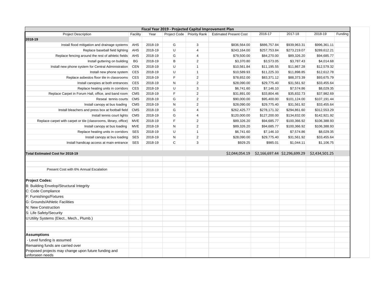| Fiscal Year 2019 - Projected Capital Improvement Plan<br>2016-17<br>2017-18<br>2018-19<br>Funding<br>Facility<br>Year<br>Project Code   Priority Rank  <br><b>Estimated Present Cost</b><br><b>Project Description</b> |            |         |   |                |                |              |                               |                |  |  |  |  |  |
|------------------------------------------------------------------------------------------------------------------------------------------------------------------------------------------------------------------------|------------|---------|---|----------------|----------------|--------------|-------------------------------|----------------|--|--|--|--|--|
|                                                                                                                                                                                                                        |            |         |   |                |                |              |                               |                |  |  |  |  |  |
| 2018-19                                                                                                                                                                                                                |            |         |   |                |                |              |                               |                |  |  |  |  |  |
| Install flood mitigation and drainage systems                                                                                                                                                                          | AHS        | 2018-19 | G | 3              | \$836,564.00   | \$886,757.84 | \$939,963.31                  | \$996,361.11   |  |  |  |  |  |
| Replace baseball field lighting                                                                                                                                                                                        | AHS        | 2018-19 | U | $\overline{4}$ | \$243,164.00   | \$257,753.84 | \$273,219.07                  | \$289,612.21   |  |  |  |  |  |
| Replace fencing around the rest of athletic fields                                                                                                                                                                     | AHS        | 2018-19 | G | 4              | \$79,500.00    | \$84,270.00  | \$89,326.20                   | \$94,685.77    |  |  |  |  |  |
| Install guttering on building                                                                                                                                                                                          | BG         | 2018-19 | B | $\overline{2}$ | \$3,370.80     | \$3,573.05   | \$3,787.43                    | \$4,014.68     |  |  |  |  |  |
| Install new phone system for Central Administration                                                                                                                                                                    | <b>CEN</b> | 2018-19 | U | $\overline{1}$ | \$10,561.84    | \$11,195.55  | \$11,867.28                   | \$12,579.32    |  |  |  |  |  |
| Install new phone system                                                                                                                                                                                               | CES        | 2018-19 | U | $\overline{1}$ | \$10,589.93    | \$11,225.33  | \$11,898.85                   | \$12,612.78    |  |  |  |  |  |
| Replace asbestos floor tile in classrooms                                                                                                                                                                              | CES        | 2018-19 | F | 2              | \$78,652.00    | \$83,371.12  | \$88,373.39                   | \$93,675.79    |  |  |  |  |  |
| Install canopies at both entrances                                                                                                                                                                                     | CES        | 2018-19 | N | 2              | \$28,090.00    | \$29,775.40  | \$31,561.92                   | \$33,455.64    |  |  |  |  |  |
| Replace heating units in corridors                                                                                                                                                                                     | CES        | 2018-19 | U | 3              | \$6,741.60     | \$7,146.10   | \$7,574.86                    | \$8,029.35     |  |  |  |  |  |
| Replace Carpet in Forum Hall, office, and band room                                                                                                                                                                    | <b>CMS</b> | 2018-19 | F | $\overline{2}$ | \$31,891.00    | \$33,804.46  | \$35,832.73                   | \$37,982.69    |  |  |  |  |  |
| Reseal tennis courts                                                                                                                                                                                                   | <b>CMS</b> | 2018-19 | G | 2              | \$90,000.00    | \$95,400.00  | \$101,124.00                  | \$107,191.44   |  |  |  |  |  |
| Install canopy at bus loading                                                                                                                                                                                          | <b>CMS</b> | 2018-19 | N | $\overline{2}$ | \$28,090.00    | \$29,775.40  | \$31,561.92                   | \$33,455.64    |  |  |  |  |  |
| Install bleachers and press box at football field                                                                                                                                                                      | <b>CMS</b> | 2018-19 | G | 4              | \$262,425.77   | \$278,171.32 | \$294,861.60                  | \$312,553.29   |  |  |  |  |  |
| Install tennis court lights                                                                                                                                                                                            | CMS        | 2018-19 | G | 4              | \$120,000.00   | \$127,200.00 | \$134,832.00                  | \$142,921.92   |  |  |  |  |  |
| Replace carpet with carpet or tile (classrooms, library, office)                                                                                                                                                       | <b>MVE</b> | 2018-19 | F | $\overline{2}$ | \$89,326.20    | \$94,685.77  | \$100,366.92                  | \$106,388.93   |  |  |  |  |  |
| Install canopy at bus loading                                                                                                                                                                                          | <b>MVE</b> | 2018-19 | N | 2              | \$89,326.20    | \$94,685.77  | \$100,366.92                  | \$106,388.93   |  |  |  |  |  |
| Replace heating units in corridors                                                                                                                                                                                     | <b>SES</b> | 2018-19 | U | $\overline{1}$ | \$6,741.60     | \$7,146.10   | \$7,574.86                    | \$8,029.35     |  |  |  |  |  |
| Install canopy at bus loading                                                                                                                                                                                          | <b>SES</b> | 2018-19 | N | $\overline{2}$ | \$28,090.00    | \$29,775.40  | \$31,561.92                   | \$33,455.64    |  |  |  |  |  |
| Install handicap access at main entrance                                                                                                                                                                               | <b>SES</b> | 2018-19 | C | 3              | \$929.25       | \$985.01     | \$1,044.11                    | \$1,106.75     |  |  |  |  |  |
|                                                                                                                                                                                                                        |            |         |   |                |                |              |                               |                |  |  |  |  |  |
| <b>Total Estimated Cost for 2018-19</b>                                                                                                                                                                                |            |         |   |                | \$2,044,054.19 |              | \$2,166,697.44 \$2,296,699.29 | \$2,434,501.25 |  |  |  |  |  |
|                                                                                                                                                                                                                        |            |         |   |                |                |              |                               |                |  |  |  |  |  |
|                                                                                                                                                                                                                        |            |         |   |                |                |              |                               |                |  |  |  |  |  |
| Present Cost with 6% Annual Escalation                                                                                                                                                                                 |            |         |   |                |                |              |                               |                |  |  |  |  |  |
|                                                                                                                                                                                                                        |            |         |   |                |                |              |                               |                |  |  |  |  |  |
| <b>Project Codes:</b>                                                                                                                                                                                                  |            |         |   |                |                |              |                               |                |  |  |  |  |  |
| B: Building Envelop/Structural Integrity                                                                                                                                                                               |            |         |   |                |                |              |                               |                |  |  |  |  |  |
| C: Code Compliance                                                                                                                                                                                                     |            |         |   |                |                |              |                               |                |  |  |  |  |  |
| F: Furnishings/Fixtures                                                                                                                                                                                                |            |         |   |                |                |              |                               |                |  |  |  |  |  |
| G: Grounds/Athletic Facilities                                                                                                                                                                                         |            |         |   |                |                |              |                               |                |  |  |  |  |  |
| N: New Construction                                                                                                                                                                                                    |            |         |   |                |                |              |                               |                |  |  |  |  |  |
| S: Life Safety/Security                                                                                                                                                                                                |            |         |   |                |                |              |                               |                |  |  |  |  |  |
| U: Utility Systems (Elect., Mech., Plumb.)                                                                                                                                                                             |            |         |   |                |                |              |                               |                |  |  |  |  |  |
|                                                                                                                                                                                                                        |            |         |   |                |                |              |                               |                |  |  |  |  |  |
|                                                                                                                                                                                                                        |            |         |   |                |                |              |                               |                |  |  |  |  |  |
| <b>Assumptions</b>                                                                                                                                                                                                     |            |         |   |                |                |              |                               |                |  |  |  |  |  |
| - Level funding is assumed                                                                                                                                                                                             |            |         |   |                |                |              |                               |                |  |  |  |  |  |
| Remaining funds are carried over                                                                                                                                                                                       |            |         |   |                |                |              |                               |                |  |  |  |  |  |
| Proposed projects may change upon future funding and                                                                                                                                                                   |            |         |   |                |                |              |                               |                |  |  |  |  |  |
| unforseen needs                                                                                                                                                                                                        |            |         |   |                |                |              |                               |                |  |  |  |  |  |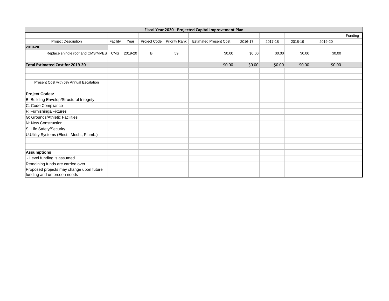|                                                                         |            |         |              |                      | Fiscal Year 2020 - Projected Capital Improvement Plan |         |         |         |         |         |
|-------------------------------------------------------------------------|------------|---------|--------------|----------------------|-------------------------------------------------------|---------|---------|---------|---------|---------|
|                                                                         |            |         |              |                      |                                                       |         |         |         |         | Funding |
| <b>Project Description</b>                                              | Facility   | Year    | Project Code | <b>Priority Rank</b> | <b>Estimated Present Cost</b>                         | 2016-17 | 2017-18 | 2018-19 | 2019-20 |         |
| 2019-20                                                                 |            |         |              |                      |                                                       |         |         |         |         |         |
| Replace shingle roof and CMS/MVES                                       | <b>CMS</b> | 2019-20 | В            | 59                   | \$0.00                                                | \$0.00  | \$0.00  | \$0.00  | \$0.00  |         |
|                                                                         |            |         |              |                      |                                                       |         |         |         |         |         |
| <b>Total Estimated Cost for 2019-20</b>                                 |            |         |              |                      | \$0.00                                                | \$0.00  | \$0.00  | \$0.00  | \$0.00  |         |
|                                                                         |            |         |              |                      |                                                       |         |         |         |         |         |
|                                                                         |            |         |              |                      |                                                       |         |         |         |         |         |
| Present Cost with 6% Annual Escalation                                  |            |         |              |                      |                                                       |         |         |         |         |         |
|                                                                         |            |         |              |                      |                                                       |         |         |         |         |         |
| <b>Project Codes:</b>                                                   |            |         |              |                      |                                                       |         |         |         |         |         |
| B: Building Envelop/Structural Integrity                                |            |         |              |                      |                                                       |         |         |         |         |         |
| C: Code Compliance                                                      |            |         |              |                      |                                                       |         |         |         |         |         |
| F: Furnishings/Fixtures                                                 |            |         |              |                      |                                                       |         |         |         |         |         |
| G: Grounds/Athletic Facilities                                          |            |         |              |                      |                                                       |         |         |         |         |         |
| N: New Construction                                                     |            |         |              |                      |                                                       |         |         |         |         |         |
| S: Life Safety/Security                                                 |            |         |              |                      |                                                       |         |         |         |         |         |
| U:Utility Systems (Elect., Mech., Plumb.)                               |            |         |              |                      |                                                       |         |         |         |         |         |
|                                                                         |            |         |              |                      |                                                       |         |         |         |         |         |
|                                                                         |            |         |              |                      |                                                       |         |         |         |         |         |
| <b>Assumptions</b>                                                      |            |         |              |                      |                                                       |         |         |         |         |         |
| - Level funding is assumed                                              |            |         |              |                      |                                                       |         |         |         |         |         |
| Remaining funds are carried over                                        |            |         |              |                      |                                                       |         |         |         |         |         |
| Proposed projects may change upon future<br>funding and unforseen needs |            |         |              |                      |                                                       |         |         |         |         |         |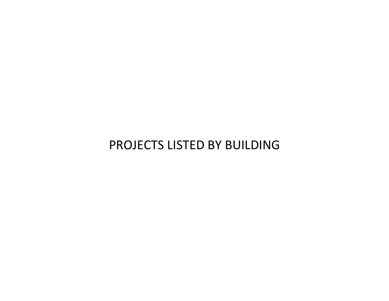## PROJECTS LISTED BY BUILDING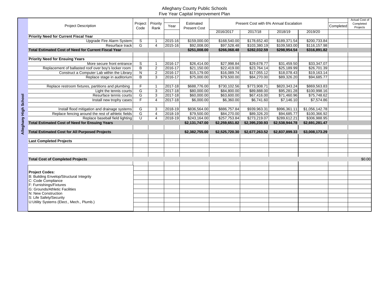|                       | <b>Project Description</b>                                  | Project        | Priority       | Year        | Estimated           |                | Present Cost with 6% Annual Escalation |                |                | Completed | Actual Cost of<br>Completed<br>Projects |
|-----------------------|-------------------------------------------------------------|----------------|----------------|-------------|---------------------|----------------|----------------------------------------|----------------|----------------|-----------|-----------------------------------------|
|                       |                                                             | Code           | Rank           |             | <b>Present Cost</b> | 2016/2017      | 2017/18                                | 2018/19        | 2019/20        |           |                                         |
|                       | <b>Priority Need for Current Fiscal Year</b>                |                |                |             |                     |                |                                        |                |                |           |                                         |
|                       | <b>Upgrade Fire Alarm System</b>                            | S              | 1              | 2015-16     | \$159,000.00        | \$168,540.00   | \$178,652.40                           | \$189,371.54   | \$200,733.84   |           |                                         |
|                       | Resurface track                                             | G              | $\overline{4}$ | 2015-16     | \$92,008.00         | \$97,528.48    | \$103,380.19                           | \$109,583.00   | \$116,157.98   |           |                                         |
|                       | <b>Total Estimated Cost of Need for Current Fiscal Year</b> |                |                |             | \$251,008.00        | \$266.068.48   | \$282,032.59                           | \$298,954.54   | \$316,891.82   |           |                                         |
|                       |                                                             |                |                |             |                     |                |                                        |                |                |           |                                         |
|                       | <b>Priority Need for Ensuing Years</b>                      |                |                |             |                     |                |                                        |                |                |           |                                         |
|                       | More secure front entrance                                  | $\mathsf{s}$   | $\mathbf{1}$   | 2016-17     | \$26,414.00         | \$27,998.84    | \$29,678.77                            | \$31,459.50    | \$33,347.07    |           |                                         |
|                       | Replacement of ballasted roof over boy's locker room        | $\overline{B}$ | $\overline{2}$ | $2016 - 17$ | \$21,150.00         | \$22,419.00    | \$23,764.14                            | \$25,189.99    | \$26,701.39    |           |                                         |
|                       | Construct a Computer Lab within the Library                 | $\mathsf{N}$   | $\overline{2}$ | 2016-17     | \$15,179.00         | \$16,089.74    | \$17,055.12                            | \$18,078.43    | \$19.163.14    |           |                                         |
|                       | Replace stage in auditorium                                 | B              | 3              | 2016-17     | \$75,000.00         | \$79,500.00    | \$84,270.00                            | \$89,326.20    | \$94,685.77    |           |                                         |
|                       |                                                             |                |                |             |                     |                |                                        |                |                |           |                                         |
|                       | Replace restroom fixtures, partitions and plumbing          | F              | $\mathbf{1}$   | 2017-18     | \$688,776.00        | \$730,102.56   | \$773,908.71                           | \$820,343.24   | \$869,563.83   |           |                                         |
|                       | Light the tennis courts                                     | G              | 3              | 2017-18     | \$80,000.00         | \$84,800.00    | \$89,888,00                            | \$95.281.28    | \$100.998.16   |           |                                         |
|                       | Resurface tennis courts                                     | G              | 3              | 2017-18     | \$60,000.00         | \$63,600.00    | \$67,416.00                            | \$71,460.96    | \$75,748.62    |           |                                         |
|                       | Install new trophy cases                                    | F              | $\overline{4}$ | 2017-18     | \$6,000.00          | \$6,360.00     | \$6,741.60                             | \$7,146.10     | \$7,574.86     |           |                                         |
|                       |                                                             |                |                |             |                     |                |                                        |                |                |           |                                         |
|                       | Install flood mitigation and drainage systems               | G              | 3              | 2018-19     | \$836.564.00        | \$886,757.84   | \$939.963.31                           | \$996,361.11   | \$1.056.142.78 |           |                                         |
|                       | Replace fencing around the rest of athletic fields          | G              | $\overline{4}$ | 2018-19     | \$79,500.00         | \$84,270.00    | \$89,326.20                            | \$94,685.77    | \$100.366.92   |           |                                         |
|                       | Replace baseball field lighting                             | $\cup$         | 4              | 2018-19     | \$243,164.00        | \$257,753.84   | \$273,219.07                           | \$289,612.21   | \$306,988.95   |           |                                         |
|                       | <b>Total Estimated Cost of Need for Ensuing Years</b>       |                |                |             | \$2,131,747.00      | \$2,259,651.82 | \$2,395,230.93                         | \$2,538,944.78 | \$2,691,281.47 |           |                                         |
| Alleghany High School |                                                             |                |                |             |                     |                |                                        |                |                |           |                                         |
|                       | <b>Total Estimated Cost for All Purposed Projects</b>       |                |                |             | \$2,382,755.00      | \$2,525,720.30 | \$2,677,263.52                         | \$2,837,899.33 | \$3,008,173.29 |           |                                         |
|                       | <b>Last Completed Projects</b>                              |                |                |             |                     |                |                                        |                |                |           |                                         |
|                       |                                                             |                |                |             |                     |                |                                        |                |                |           |                                         |
|                       |                                                             |                |                |             |                     |                |                                        |                |                |           |                                         |
|                       | <b>Total Cost of Completed Projects</b>                     |                |                |             |                     |                |                                        |                |                |           | \$0.00                                  |
|                       |                                                             |                |                |             |                     |                |                                        |                |                |           |                                         |
|                       | <b>Project Codes:</b>                                       |                |                |             |                     |                |                                        |                |                |           |                                         |
|                       | B: Building Envelop/Structural Integrity                    |                |                |             |                     |                |                                        |                |                |           |                                         |
|                       | C: Code Compliance                                          |                |                |             |                     |                |                                        |                |                |           |                                         |
|                       | F: Furnishings/Fixtures                                     |                |                |             |                     |                |                                        |                |                |           |                                         |
|                       | G: Grounds/Athletic Facilities                              |                |                |             |                     |                |                                        |                |                |           |                                         |
|                       | N: New Construction                                         |                |                |             |                     |                |                                        |                |                |           |                                         |
|                       | S: Life Safety/Security                                     |                |                |             |                     |                |                                        |                |                |           |                                         |
|                       | U:Utility Systems (Elect., Mech., Plumb.)                   |                |                |             |                     |                |                                        |                |                |           |                                         |
|                       |                                                             |                |                |             |                     |                |                                        |                |                |           |                                         |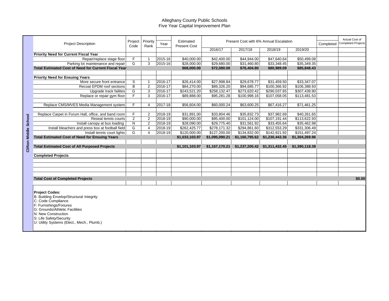|         | <b>Project Description</b>                                  | Project<br>Code | Priority<br>Rank | Year    | Estimated<br><b>Present Cost</b> |                | Present Cost with 6% Annual Escalation |                |                | Completed | Actual Cost of<br><b>Completed Projects</b> |
|---------|-------------------------------------------------------------|-----------------|------------------|---------|----------------------------------|----------------|----------------------------------------|----------------|----------------|-----------|---------------------------------------------|
|         |                                                             |                 |                  |         |                                  | 2016/17        | 2017/18                                | 2018/19        | 2019/20        |           |                                             |
|         | <b>Priority Need for Current Fiscal Year</b>                |                 |                  |         |                                  |                |                                        |                |                |           |                                             |
|         | Repair/replace stage floor                                  | F               |                  | 2015-16 | \$40,000.00                      | \$42,400.00    | \$44,944.00                            | \$47,640.64    | \$50,499.08    |           |                                             |
|         | Parking lot maintenance and repair                          | G               | 3                | 2015-16 | \$28,000.00                      | \$29,680.00    | \$31,460.80                            | \$33,348.45    | \$35,349.35    |           |                                             |
|         | <b>Total Estimated Cost of Need for Current Fiscal Year</b> |                 |                  |         | \$68,000.00                      | \$72,080.00    | \$76,404.80                            | \$80,989.09    | \$85,848.43    |           |                                             |
|         |                                                             |                 |                  |         |                                  |                |                                        |                |                |           |                                             |
|         | <b>Priority Need for Ensuing Years</b>                      |                 |                  |         |                                  |                |                                        |                |                |           |                                             |
|         | More secure front entrance                                  | S               |                  | 2016-17 | \$26,414.00                      | \$27,998.84    | \$29,678.77                            | \$31,459.50    | \$33,347.07    |           |                                             |
|         | <b>Recoat EPDM roof sections</b>                            | B               | $\overline{2}$   | 2016-17 | \$84,270.00                      | \$89,326.20    | \$94,685.77                            | \$100,366.92   | \$106,388.93   |           |                                             |
|         | Upgrade track failites                                      | G               | 3                | 2016-17 | \$243,521.20                     | \$258,132.47   | \$273,620.42                           | \$290,037.65   | \$307,439.90   |           |                                             |
|         | Replace or repair gym floor                                 | $\overline{F}$  | 3                | 2016-17 | \$89,888.00                      | \$95,281.28    | \$100,998.16                           | \$107,058.05   | \$113,481.53   |           |                                             |
|         |                                                             |                 |                  |         |                                  |                |                                        |                |                |           |                                             |
|         | Replace CMS/MVES Media Management system                    | F               | 4                | 2017-18 | \$56,604.00                      | \$60,000.24    | \$63,600.25                            | \$67,416.27    | \$71,461.25    |           |                                             |
|         |                                                             |                 |                  |         |                                  |                |                                        |                |                |           |                                             |
|         | Replace Carpet in Forum Hall, office, and band room         | F               | $\overline{2}$   | 2018-19 | \$31,891.00                      | \$33,804.46    | \$35,832.73                            | \$37,982.69    | \$40,261.65    |           |                                             |
|         | Reseal tennis courts                                        | $\overline{2}$  | $\overline{2}$   | 2018-19 | \$90,000.00                      | \$95,400.00    | \$101,124.00                           | \$107,191.44   | \$113,622.93   |           |                                             |
| School  | Install canopy at bus loading                               | N               | $\overline{2}$   | 2018-19 | \$28,090.00                      | \$29,775.40    | \$31,561.92                            | \$33,455.64    | \$35,462.98    |           |                                             |
|         | Install bleachers and press box at football field           | G               |                  | 2018-19 | \$262,425.77                     | \$278,171.32   | \$294,861.60                           | \$312,553.29   | \$331,306.49   |           |                                             |
| 름       | Install tennis court lights                                 | G               | $\Delta$         | 2018-19 | \$120,000.00                     | \$127,200.00   | \$134,832.00                           | \$142,921.92   | \$151,497.24   |           |                                             |
| Ξ<br>Σ  | <b>Total Estimated Cost of Need for Ensuing Years</b>       |                 |                  |         | \$1,033,103.97                   | \$1,095,090.21 | \$1,160,795.62                         | \$1,230,443.36 | \$1,304,269.96 |           |                                             |
|         |                                                             |                 |                  |         |                                  |                |                                        |                |                |           |                                             |
|         | <b>Total Estimated Cost of All Purposed Projects</b>        |                 |                  |         | \$1,101,103.97                   | \$1,167,170.21 | \$1,237,200.42                         | \$1,311,432.45 | \$1,390,118.39 |           |                                             |
| Clifton |                                                             |                 |                  |         |                                  |                |                                        |                |                |           |                                             |
|         | <b>Completed Projects</b>                                   |                 |                  |         |                                  |                |                                        |                |                |           |                                             |
|         |                                                             |                 |                  |         |                                  |                |                                        |                |                |           |                                             |
|         |                                                             |                 |                  |         |                                  |                |                                        |                |                |           |                                             |
|         |                                                             |                 |                  |         |                                  |                |                                        |                |                |           |                                             |
|         |                                                             |                 |                  |         |                                  |                |                                        |                |                |           |                                             |
|         | <b>Total Cost of Completed Projects</b>                     |                 |                  |         |                                  |                |                                        |                |                |           | \$0.00                                      |
|         |                                                             |                 |                  |         |                                  |                |                                        |                |                |           |                                             |
|         |                                                             |                 |                  |         |                                  |                |                                        |                |                |           |                                             |
|         | <b>Project Codes:</b>                                       |                 |                  |         |                                  |                |                                        |                |                |           |                                             |
|         | B: Building Envelop/Structural Integrity                    |                 |                  |         |                                  |                |                                        |                |                |           |                                             |
|         | C: Code Compliance                                          |                 |                  |         |                                  |                |                                        |                |                |           |                                             |

C: Code Compliance

F: Furnishings/Fixtures

G: Grounds/Athletic Facilities

N: New Construction

S: Life Safety/Security

U: Utility Systems (Elect., Mech., Plumb.)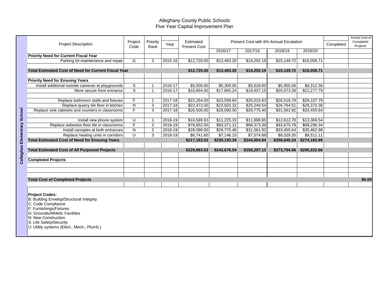|            | <b>Project Description</b>                                  | Project<br>Code         | Priority<br>Rank | Year        | Estimated<br><b>Present Cost</b> |              | Present Cost with 6% Annual Escalation |              |              | Completed | Actual Cost of<br>Completed<br>Projects |
|------------|-------------------------------------------------------------|-------------------------|------------------|-------------|----------------------------------|--------------|----------------------------------------|--------------|--------------|-----------|-----------------------------------------|
|            |                                                             |                         |                  |             |                                  | 2016/17      | 2017/18                                | 2018/19      | 2019/20      |           |                                         |
|            | <b>Priority Need for Current Fiscal Year</b>                |                         |                  |             |                                  |              |                                        |              |              |           |                                         |
|            | Parking lot maintenance and repair                          | G                       | 3                | 2015-16     | \$12,720.00                      | \$13,483.20  | \$14,292.19                            | \$15,149.72  | \$16,058.71  |           |                                         |
|            |                                                             |                         |                  |             |                                  |              |                                        |              |              |           |                                         |
|            | <b>Total Estimated Cost of Need for Current Fiscal Year</b> |                         |                  |             | \$12,720.00                      | \$13,483.20  | \$14,292.19                            | \$15,149.72  | \$16,058.71  |           |                                         |
|            |                                                             |                         |                  |             |                                  |              |                                        |              |              |           |                                         |
|            | <b>Priority Need for Ensuing Years</b>                      |                         |                  |             |                                  |              |                                        |              |              |           |                                         |
|            | Install additional outside cameras at playgrounds           | S                       | $\mathbf 1$      | $2016 - 17$ | \$5,000.00                       | \$5,300.00   | \$5,618.00                             | \$5,955.08   | \$6,312.38   |           |                                         |
|            | More secure front entrance                                  | $\overline{s}$          | $\mathbf{1}$     | 2016-17     | \$16,854.00                      | \$17,865.24  | \$18,937.15                            | \$20,073.38  | \$21,277.79  |           |                                         |
|            |                                                             |                         |                  |             |                                  |              |                                        |              |              |           |                                         |
|            | Replace bathroom stalls and fixtures                        | F                       | $\mathbf{1}$     | 2017-18     | \$22,264.00                      | \$23,599.84  | \$25,015.83                            | \$26,516.78  | \$28,107.79  |           |                                         |
|            | Replace quarry tile floor in kitchen                        | N                       | 3                | 2017-18     | \$22,472.00                      | \$23,820.32  | \$25,249.54                            | \$26,764.51  | \$28,370.38  |           |                                         |
|            | Replace sink cabinets and counters in classrooms            | $\overline{\mathsf{F}}$ | $\overline{3}$   | 2017-18     | \$26,500.00                      | \$28,090.00  | \$29,775.40                            | \$31,561.92  | \$33,455.64  |           |                                         |
| School     |                                                             |                         |                  |             |                                  |              |                                        |              |              |           |                                         |
|            | Install new phone system                                    | U                       | $\mathbf{1}$     | 2018-19     | \$10,589.93                      | \$11,225.33  | \$11,898.85                            | \$12,612.78  | \$13,369.54  |           |                                         |
|            | Replace asbestos floor tile in classrooms                   | $\overline{F}$          | $\overline{2}$   | 2018-19     | \$78,652.00                      | \$83,371.12  | \$88,373.39                            | \$93,675.79  | \$99,296.34  |           |                                         |
|            | Install canopies at both entrances                          | ${\sf N}$               | $\overline{2}$   | 2018-19     | \$28,090.00                      | \$29,775.40  | \$31,561.92                            | \$33,455.64  | \$35,462.98  |           |                                         |
| Elementary | Replace heating units in corridors                          | U                       | 3                | 2018-19     | \$6,741.60                       | \$7,146.10   | \$7,574.86                             | \$8,029.35   | \$8,511.11   |           |                                         |
|            | <b>Total Estimated Cost of Need for Ensuing Years</b>       |                         |                  |             | \$217,163.53                     | \$230,193.34 | \$244,004.94                           | \$258,645.24 | \$274,163.95 |           |                                         |
|            |                                                             |                         |                  |             |                                  |              |                                        |              |              |           |                                         |
|            | <b>Total Estimated Cost of All Purposed Projects</b>        |                         |                  |             | \$229,883.53                     | \$243,676.54 | \$258,297.13                           | \$273,794.96 | \$290,222.66 |           |                                         |
| Callaghan  |                                                             |                         |                  |             |                                  |              |                                        |              |              |           |                                         |
|            | <b>Completed Projects</b>                                   |                         |                  |             |                                  |              |                                        |              |              |           |                                         |
|            |                                                             |                         |                  |             |                                  |              |                                        |              |              |           |                                         |
|            |                                                             |                         |                  |             |                                  |              |                                        |              |              |           |                                         |
|            |                                                             |                         |                  |             |                                  |              |                                        |              |              |           |                                         |
|            | <b>Total Cost of Completed Projects</b>                     |                         |                  |             |                                  |              |                                        |              |              |           | \$0.00                                  |
|            |                                                             |                         |                  |             |                                  |              |                                        |              |              |           |                                         |
|            |                                                             |                         |                  |             |                                  |              |                                        |              |              |           |                                         |
|            | <b>Project Codes:</b>                                       |                         |                  |             |                                  |              |                                        |              |              |           |                                         |
|            | B: Building Envelop/Structural Integrity                    |                         |                  |             |                                  |              |                                        |              |              |           |                                         |
|            | C: Code Compliance                                          |                         |                  |             |                                  |              |                                        |              |              |           |                                         |
|            | F: Furnishings/Fixtures<br>G: Grounds/Athletic Facilities   |                         |                  |             |                                  |              |                                        |              |              |           |                                         |
|            | N: New Construction                                         |                         |                  |             |                                  |              |                                        |              |              |           |                                         |
|            | S: Life Safety/Security                                     |                         |                  |             |                                  |              |                                        |              |              |           |                                         |
|            | U: Utility systems (Elect., Mech., Plumb.)                  |                         |                  |             |                                  |              |                                        |              |              |           |                                         |
|            |                                                             |                         |                  |             |                                  |              |                                        |              |              |           |                                         |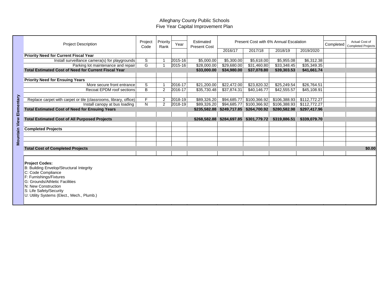|                      | <b>Project Description</b>                                                                                                                                                                                                                           | Project<br>Code | Priority<br>Rank | Year        | Estimated<br><b>Present Cost</b> | 2016/17                   | Present Cost with 6% Annual Escalation<br>2017/18 | 2018/19      | 2019/2020    | Completed | Actual Cost of<br><b>Completed Projects</b> |
|----------------------|------------------------------------------------------------------------------------------------------------------------------------------------------------------------------------------------------------------------------------------------------|-----------------|------------------|-------------|----------------------------------|---------------------------|---------------------------------------------------|--------------|--------------|-----------|---------------------------------------------|
|                      | <b>Priority Need for Current Fiscal Year</b>                                                                                                                                                                                                         |                 |                  |             |                                  |                           |                                                   |              |              |           |                                             |
|                      | Install surveillance camera(s) for playgrounds                                                                                                                                                                                                       | S               |                  | $2015 - 16$ | \$5,000.00                       | \$5,300.00                | \$5,618.00                                        | \$5,955.08   | \$6,312.38   |           |                                             |
|                      | Parking lot maintenance and repair                                                                                                                                                                                                                   | G               |                  | 2015-16     | \$28,000.00                      | \$29,680.00               | \$31,460.80                                       | \$33,348.45  | \$35,349.35  |           |                                             |
|                      | <b>Total Estimated Cost of Need for Current Fiscal Year</b>                                                                                                                                                                                          |                 |                  |             | \$33,000.00                      | \$34,980.00               | \$37,078.80                                       | \$39,303.53  | \$41,661.74  |           |                                             |
|                      |                                                                                                                                                                                                                                                      |                 |                  |             |                                  |                           |                                                   |              |              |           |                                             |
|                      | <b>Priority Need for Ensuing Years</b>                                                                                                                                                                                                               |                 |                  |             |                                  |                           |                                                   |              |              |           |                                             |
|                      | More secure front entrance                                                                                                                                                                                                                           | S               |                  | 2016-17     | \$21,200.00                      | \$22,472.00               | \$23.820.32                                       | \$25,249.54  | \$26.764.51  |           |                                             |
|                      | Recoat EPDM roof sections                                                                                                                                                                                                                            | B               | 2                | 2016-17     | \$35,730.48                      | \$37,874.31               | \$40,146.77                                       | \$42,555.57  | \$45,108.91  |           |                                             |
|                      |                                                                                                                                                                                                                                                      |                 |                  |             |                                  |                           |                                                   |              |              |           |                                             |
|                      | Replace carpet with carpet or tile (classrooms, library, office)                                                                                                                                                                                     | F.              | $\overline{2}$   | 2018-19     | \$89,326.20                      | \$94,685.77               | \$100,366.92                                      | \$106,388.93 | \$112,772.27 |           |                                             |
|                      | Install canopy at bus loading                                                                                                                                                                                                                        | N.              | $\overline{2}$   | 2018-19     | \$89,326.20                      | \$94,685.77               | \$100,366.92                                      | \$106,388.93 | \$112,772.27 |           |                                             |
| Elementary           | <b>Total Estimated Cost of Need for Ensuing Years</b>                                                                                                                                                                                                |                 |                  |             |                                  | \$235,582.88 \$249,717.85 | \$264,700.92                                      | \$280,582.98 | \$297,417.96 |           |                                             |
|                      |                                                                                                                                                                                                                                                      |                 |                  |             |                                  |                           |                                                   |              |              |           |                                             |
| <b>Mountain View</b> | <b>Total Estimated Cost of All Purposed Projects</b>                                                                                                                                                                                                 |                 |                  |             |                                  | \$268,582.88 \$284,697.85 | \$301,779.72                                      | \$319,886.51 | \$339,079.70 |           |                                             |
|                      | <b>Completed Projects</b>                                                                                                                                                                                                                            |                 |                  |             |                                  |                           |                                                   |              |              |           |                                             |
|                      |                                                                                                                                                                                                                                                      |                 |                  |             |                                  |                           |                                                   |              |              |           |                                             |
|                      |                                                                                                                                                                                                                                                      |                 |                  |             |                                  |                           |                                                   |              |              |           |                                             |
|                      |                                                                                                                                                                                                                                                      |                 |                  |             |                                  |                           |                                                   |              |              |           |                                             |
|                      | <b>Total Cost of Completed Projects</b>                                                                                                                                                                                                              |                 |                  |             |                                  |                           |                                                   |              |              |           | \$0.00                                      |
|                      |                                                                                                                                                                                                                                                      |                 |                  |             |                                  |                           |                                                   |              |              |           |                                             |
|                      | <b>Project Codes:</b><br>B: Building Envelop/Structural Integrity<br>C: Code Compliance<br>F: Furnishings/Fixtures<br>G: Grounds/Athletic Facilities<br>N: New Construction<br>S: Life Safety/Security<br>U: Utility Systems (Elect., Mech., Plumb.) |                 |                  |             |                                  |                           |                                                   |              |              |           |                                             |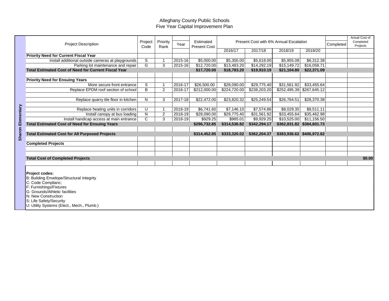|                | <b>Project Description</b>                                                                                                                                                                                                                     | Project<br>Code | Priority<br>Rank | Year    | Estimated<br><b>Present Cost</b> | 2016/17      | Present Cost with 6% Annual Escalation<br>2017/18 | 2018/19                 | 2019/20                   | Completed | Actual Cost of<br>Completed<br>Projects |
|----------------|------------------------------------------------------------------------------------------------------------------------------------------------------------------------------------------------------------------------------------------------|-----------------|------------------|---------|----------------------------------|--------------|---------------------------------------------------|-------------------------|---------------------------|-----------|-----------------------------------------|
|                | <b>Priority Need for Current Fiscal Year</b>                                                                                                                                                                                                   |                 |                  |         |                                  |              |                                                   |                         |                           |           |                                         |
|                | Install additional outside cameras at playgrounds                                                                                                                                                                                              | S               |                  | 2015-16 | \$5,000.00                       | \$5,300.00   | \$5,618.00                                        | \$5,955.08              | \$6,312.38                |           |                                         |
|                | Parking lot maintenance and repair                                                                                                                                                                                                             | G               | 3                | 2015-16 | \$12,720.00                      | \$13,483.20  | \$14,292.19                                       | \$15,149.72             | \$16,058.71               |           |                                         |
|                | <b>Total Estimated Cost of Need for Current Fiscal Year</b>                                                                                                                                                                                    |                 |                  |         | \$17,720.00                      | \$18,783.20  | \$19,910.19                                       | \$21,104.80             | \$22,371.09               |           |                                         |
|                |                                                                                                                                                                                                                                                |                 |                  |         |                                  |              |                                                   |                         |                           |           |                                         |
|                | <b>Priority Need for Ensuing Years</b>                                                                                                                                                                                                         |                 |                  |         |                                  |              |                                                   |                         |                           |           |                                         |
|                | More secure front entrance                                                                                                                                                                                                                     | S               | -1               | 2016-17 | \$26,500.00                      | \$28,090.00  | \$29,775.40                                       | \$31,561.92             | \$33,455.64               |           |                                         |
|                | Replace EPDM roof section of school                                                                                                                                                                                                            | B               | $\overline{2}$   | 2016-17 | \$212,000.00                     | \$224,720.00 | \$238,203.20                                      |                         | \$252,495.39 \$267,645.12 |           |                                         |
|                |                                                                                                                                                                                                                                                |                 |                  |         |                                  |              |                                                   |                         |                           |           |                                         |
|                | Replace quarry tile floor in kitchen                                                                                                                                                                                                           | N               | 3                | 2017-18 | \$22,472.00                      | \$23,820.32  | \$25,249.54                                       | $\overline{$26,764.51}$ | \$28,370.38               |           |                                         |
|                |                                                                                                                                                                                                                                                |                 |                  |         |                                  |              |                                                   |                         |                           |           |                                         |
|                | Replace heating units in corridors                                                                                                                                                                                                             | U               | $\overline{1}$   | 2018-19 | \$6,741.60                       | \$7,146.10   | \$7,574.86                                        | \$8,029.35              | \$8,511.11                |           |                                         |
| ementary       | Install canopy at bus loading                                                                                                                                                                                                                  | ${\sf N}$       | $\overline{2}$   | 2018-19 | \$28,090.00                      | \$29,775.40  | \$31,561.92                                       | \$33,455.64             | \$35,462.98               |           |                                         |
|                | Install handicap access at main entrance                                                                                                                                                                                                       | $\mathsf{C}$    | 3                | 2018-19 | \$929.25                         | \$985.01     | \$9,929.25                                        | \$10,525.00             | \$11,156.50               |           |                                         |
| π              | <b>Total Estimated Cost of Need for Ensuing Years</b>                                                                                                                                                                                          |                 |                  |         | \$296,732.85                     | \$314,536.82 | \$342,294.17                                      |                         | \$362,831.82 \$384,601.73 |           |                                         |
| $\overline{5}$ |                                                                                                                                                                                                                                                |                 |                  |         |                                  |              |                                                   |                         |                           |           |                                         |
|                | <b>Total Estimated Cost for All Purposed Projects</b>                                                                                                                                                                                          |                 |                  |         | \$314,452.85                     | \$333,320.02 | \$362,204.37                                      |                         | \$383,936.62 \$406,972.82 |           |                                         |
|                |                                                                                                                                                                                                                                                |                 |                  |         |                                  |              |                                                   |                         |                           |           |                                         |
|                | <b>Completed Projects</b>                                                                                                                                                                                                                      |                 |                  |         |                                  |              |                                                   |                         |                           |           |                                         |
|                |                                                                                                                                                                                                                                                |                 |                  |         |                                  |              |                                                   |                         |                           |           |                                         |
|                |                                                                                                                                                                                                                                                |                 |                  |         |                                  |              |                                                   |                         |                           |           | \$0.00                                  |
|                | <b>Total Cost of Completed Projects</b>                                                                                                                                                                                                        |                 |                  |         |                                  |              |                                                   |                         |                           |           |                                         |
|                |                                                                                                                                                                                                                                                |                 |                  |         |                                  |              |                                                   |                         |                           |           |                                         |
|                | Project codes:<br>B: Building Envelope/Structural Integrity<br>C: Code Complianc;<br>F: Furnishings/Fixtures<br>G: Grounds/Athletic facilities<br>N: New Construction<br>S: Life Safety/Security<br>U: Utility Systems (Elect., Mech., Plumb.) |                 |                  |         |                                  |              |                                                   |                         |                           |           |                                         |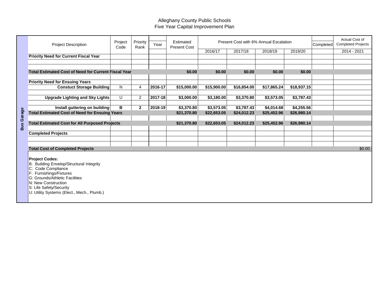|            | <b>Project Description</b>                                            | Project<br>Code | Priority<br>Rank | Year    | Estimated<br><b>Present Cost</b> |             |             | Present Cost with 6% Annual Escalation | Completed   | <b>Actual Cost of</b><br><b>Completed Projects</b> |
|------------|-----------------------------------------------------------------------|-----------------|------------------|---------|----------------------------------|-------------|-------------|----------------------------------------|-------------|----------------------------------------------------|
|            |                                                                       |                 |                  |         |                                  | 2016/17     | 2017/18     | 2018/19                                | 2019/20     | 2014 - 2021                                        |
|            | <b>Priority Need for Current Fiscal Year</b>                          |                 |                  |         |                                  |             |             |                                        |             |                                                    |
|            |                                                                       |                 |                  |         |                                  |             |             |                                        |             |                                                    |
|            | <b>Total Estimated Cost of Need for Current Fiscal Year</b>           |                 |                  |         | \$0.00                           | \$0.00      | \$0.00      | \$0.00                                 | \$0.00      |                                                    |
|            |                                                                       |                 |                  |         |                                  |             |             |                                        |             |                                                    |
|            | <b>Priority Need for Ensuing Years</b>                                |                 |                  |         |                                  |             |             |                                        |             |                                                    |
|            | <b>Constuct Storage Building</b>                                      | N               | 4                | 2016-17 | \$15,000.00                      | \$15,900.00 | \$16,854.00 | \$17,865.24                            | \$18,937.15 |                                                    |
|            |                                                                       |                 |                  |         |                                  |             |             |                                        |             |                                                    |
|            | <b>Upgrade Lighting and Sky Lights</b>                                | U               | $\overline{2}$   | 2017-18 | \$3,000.00                       | \$3,180.00  | \$3,370.80  | \$3,573.05                             | \$3,787.43  |                                                    |
|            |                                                                       |                 |                  |         |                                  |             |             |                                        |             |                                                    |
|            | Install guttering on building                                         | В               | $\mathbf{2}$     | 2018-19 | \$3,370.80                       | \$3,573.05  | \$3,787.43  | \$4,014.68                             | \$4,255.56  |                                                    |
| Garage     | <b>Total Estimated Cost of Need for Ensuing Years</b>                 |                 |                  |         | \$21,370.80                      | \$22,653.05 | \$24,012.23 | \$25,452.96                            | \$26,980.14 |                                                    |
|            |                                                                       |                 |                  |         |                                  |             |             |                                        |             |                                                    |
| <b>Bus</b> | <b>Total Estimated Cost for All Purposed Projects</b>                 |                 |                  |         | \$21,370.80                      | \$22,653.05 | \$24,012.23 | \$25,452.96                            | \$26,980.14 |                                                    |
|            |                                                                       |                 |                  |         |                                  |             |             |                                        |             |                                                    |
|            | <b>Completed Projects</b>                                             |                 |                  |         |                                  |             |             |                                        |             |                                                    |
|            |                                                                       |                 |                  |         |                                  |             |             |                                        |             |                                                    |
|            | <b>Total Cost of Completed Projects</b>                               |                 |                  |         |                                  |             |             |                                        |             | \$0.00                                             |
|            |                                                                       |                 |                  |         |                                  |             |             |                                        |             |                                                    |
|            | <b>Project Codes:</b>                                                 |                 |                  |         |                                  |             |             |                                        |             |                                                    |
|            | <b>Building Envelop/Structural Integrity</b><br>IB:                   |                 |                  |         |                                  |             |             |                                        |             |                                                    |
|            | C: Code Compliance                                                    |                 |                  |         |                                  |             |             |                                        |             |                                                    |
|            | Furnishings/Fixtures                                                  |                 |                  |         |                                  |             |             |                                        |             |                                                    |
|            | G: Grounds/Athletic Facilities                                        |                 |                  |         |                                  |             |             |                                        |             |                                                    |
|            | N: New Construction                                                   |                 |                  |         |                                  |             |             |                                        |             |                                                    |
|            | S: Life Safety/Security<br>U: Utility Systems (Elect., Mech., Plumb.) |                 |                  |         |                                  |             |             |                                        |             |                                                    |
|            |                                                                       |                 |                  |         |                                  |             |             |                                        |             |                                                    |